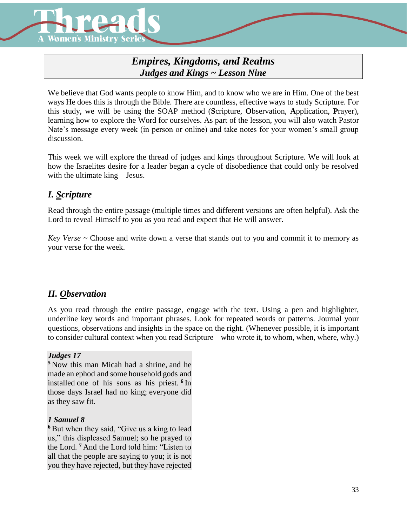

# *Empires, Kingdoms, and Realms Judges and Kings ~ Lesson Nine*

We believe that God wants people to know Him, and to know who we are in Him. One of the best ways He does this is through the Bible. There are countless, effective ways to study Scripture. For this study, we will be using the SOAP method (**S**cripture, **O**bservation, **A**pplication, **P**rayer), learning how to explore the Word for ourselves. As part of the lesson, you will also watch Pastor Nate's message every week (in person or online) and take notes for your women's small group discussion.

This week we will explore the thread of judges and kings throughout Scripture. We will look at how the Israelites desire for a leader began a cycle of disobedience that could only be resolved with the ultimate king – Jesus.

# *I. Scripture*

Read through the entire passage (multiple times and different versions are often helpful). Ask the Lord to reveal Himself to you as you read and expect that He will answer.

*Key Verse ~* Choose and write down a verse that stands out to you and commit it to memory as your verse for the week.

## *II. Observation*

As you read through the entire passage, engage with the text. Using a pen and highlighter, underline key words and important phrases. Look for repeated words or patterns. Journal your questions, observations and insights in the space on the right. (Whenever possible, it is important to consider cultural context when you read Scripture – who wrote it, to whom, when, where, why.)

### *Judges 17*

**<sup>5</sup>** Now this man Micah had a shrine, and he made an ephod and some household gods and installed one of his sons as his priest. **<sup>6</sup>** In those days Israel had no king; everyone did as they saw fit.

### *1 Samuel 8*

**<sup>6</sup>** But when they said, "Give us a king to lead us," this displeased Samuel; so he prayed to the Lord. **<sup>7</sup>** And the Lord told him: "Listen to all that the people are saying to you; it is not you they have rejected, but they have rejected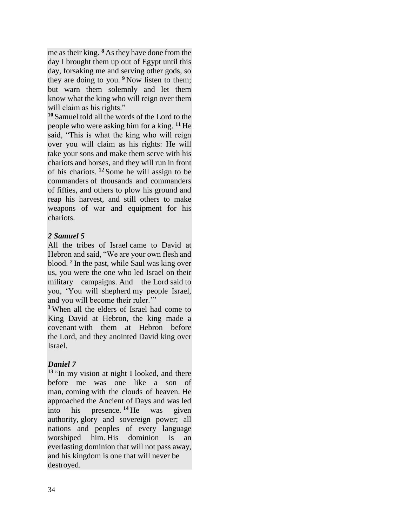me as their king. **<sup>8</sup>** As they have done from the day I brought them up out of Egypt until this day, forsaking me and serving other gods, so they are doing to you. **<sup>9</sup>** Now listen to them; but warn them solemnly and let them know what the king who will reign over them will claim as his rights."

**<sup>10</sup>** Samuel told all the words of the Lord to the people who were asking him for a king. **<sup>11</sup>** He said, "This is what the king who will reign over you will claim as his rights: He will take your sons and make them serve with his chariots and horses, and they will run in front of his chariots. **<sup>12</sup>** Some he will assign to be commanders of thousands and commanders of fifties, and others to plow his ground and reap his harvest, and still others to make weapons of war and equipment for his chariots.

### *2 Samuel 5*

All the tribes of Israel came to David at Hebron and said, "We are your own flesh and blood. **<sup>2</sup>** In the past, while Saul was king over us, you were the one who led Israel on their military campaigns. And the Lord said to you, 'You will shepherd my people Israel, and you will become their ruler."

**<sup>3</sup>** When all the elders of Israel had come to King David at Hebron, the king made a covenant with them at Hebron before the Lord, and they anointed David king over Israel.

## *Daniel 7*

**<sup>13</sup>** "In my vision at night I looked, and there before me was one like a son of man, coming with the clouds of heaven. He approached the Ancient of Days and was led into his presence. **<sup>14</sup>** He was given authority, glory and sovereign power; all nations and peoples of every language worshiped him. His dominion is an everlasting dominion that will not pass away, and his kingdom is one that will never be destroyed.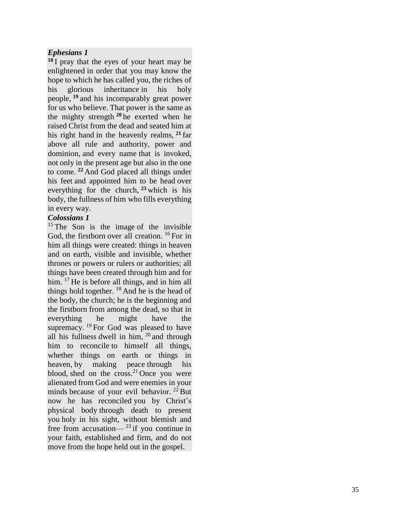#### *Ephesians 1*

**<sup>18</sup>** I pray that the eyes of your heart may be enlightened in order that you may know the hope to which he has called you, the riches of his glorious inheritance in his holy people, **<sup>19</sup>** and his incomparably great power for us who believe. That power is the same as the mighty strength **<sup>20</sup>** he exerted when he raised Christ from the dead and seated him at his right hand in the heavenly realms, **<sup>21</sup>** far above all rule and authority, power and dominion, and every name that is invoked, not only in the present age but also in the one to come. **<sup>22</sup>** And God placed all things under his feet and appointed him to be head over everything for the church, **<sup>23</sup>** which is his body, the fullness of him who fills everything in every way.

#### *Colossians 1*

 $15$  The Son is the image of the invisible God, the firstborn over all creation. <sup>16</sup> For in him all things were created: things in heaven and on earth, visible and invisible, whether thrones or powers or rulers or authorities; all things have been created through him and for him. <sup>17</sup> He is before all things, and in him all things hold together. <sup>18</sup> And he is the head of the body, the church; he is the beginning and the firstborn from among the dead, so that in everything he might have the supremacy. <sup>19</sup> For God was pleased to have all his fullness dwell in him, <sup>20</sup> and through him to reconcile to himself all things, whether things on earth or things in heaven, by making peace through his blood, shed on the cross.<sup>21</sup> Once you were alienated from God and were enemies in your minds because of your evil behavior.  $22$  But now he has reconciled you by Christ's physical body through death to present you holy in his sight, without blemish and free from accusation— $^{23}$  if you continue in your faith, established and firm, and do not move from the hope held out in the gospel.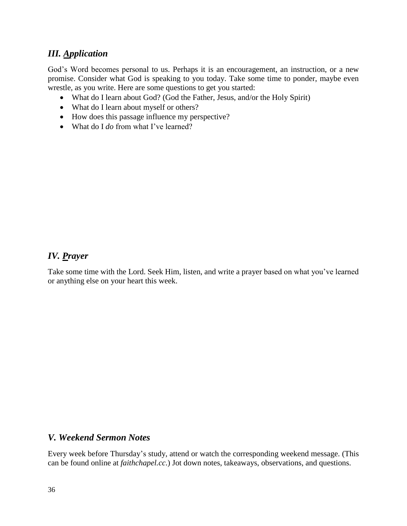## *III. Application*

God's Word becomes personal to us. Perhaps it is an encouragement, an instruction, or a new promise. Consider what God is speaking to you today. Take some time to ponder, maybe even wrestle, as you write. Here are some questions to get you started:

- What do I learn about God? (God the Father, Jesus, and/or the Holy Spirit)
- What do I learn about myself or others?
- How does this passage influence my perspective?
- What do I *do* from what I've learned?

### *IV. Prayer*

Take some time with the Lord. Seek Him, listen, and write a prayer based on what you've learned or anything else on your heart this week.

### *V. Weekend Sermon Notes*

Every week before Thursday's study, attend or watch the corresponding weekend message. (This can be found online at *faithchapel.cc*.) Jot down notes, takeaways, observations, and questions.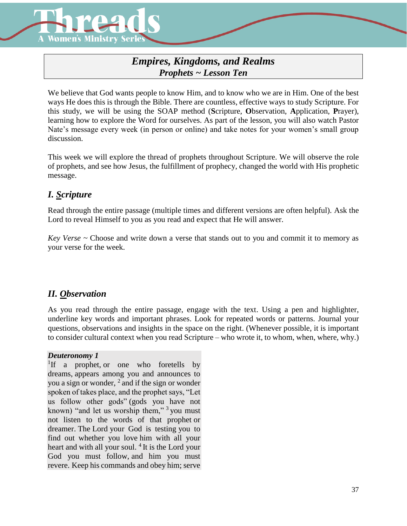

# *Empires, Kingdoms, and Realms Prophets ~ Lesson Ten*

We believe that God wants people to know Him, and to know who we are in Him. One of the best ways He does this is through the Bible. There are countless, effective ways to study Scripture. For this study, we will be using the SOAP method (**S**cripture, **O**bservation, **A**pplication, **P**rayer), learning how to explore the Word for ourselves. As part of the lesson, you will also watch Pastor Nate's message every week (in person or online) and take notes for your women's small group discussion.

This week we will explore the thread of prophets throughout Scripture. We will observe the role of prophets, and see how Jesus, the fulfillment of prophecy, changed the world with His prophetic message.

# *I. Scripture*

Read through the entire passage (multiple times and different versions are often helpful). Ask the Lord to reveal Himself to you as you read and expect that He will answer.

*Key Verse ~* Choose and write down a verse that stands out to you and commit it to memory as your verse for the week.

# *II. Observation*

As you read through the entire passage, engage with the text. Using a pen and highlighter, underline key words and important phrases. Look for repeated words or patterns. Journal your questions, observations and insights in the space on the right. (Whenever possible, it is important to consider cultural context when you read Scripture – who wrote it, to whom, when, where, why.)

### *Deuteronomy 1*

<sup>1</sup>If a prophet, or one who foretells by dreams, appears among you and announces to you a sign or wonder,  $<sup>2</sup>$  and if the sign or wonder</sup> spoken of takes place, and the prophet says, "Let us follow other gods" (gods you have not known) "and let us worship them,"<sup>3</sup> you must not listen to the words of that prophet or dreamer. The Lord your God is testing you to find out whether you love him with all your heart and with all your soul.<sup>4</sup> It is the Lord your God you must follow, and him you must revere. Keep his commands and obey him; serve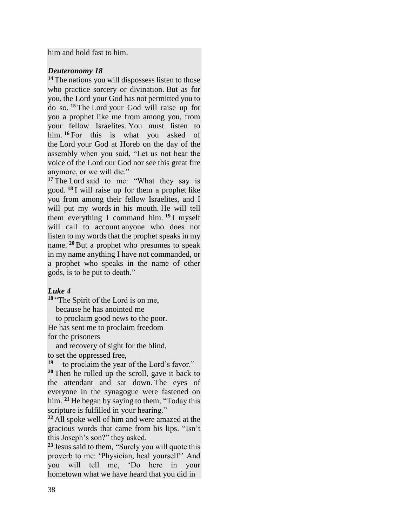him and hold fast to him.

#### *Deuteronomy 18*

**<sup>14</sup>** The nations you will dispossess listen to those who practice sorcery or divination. But as for you, the Lord your God has not permitted you to do so. **<sup>15</sup>** The Lord your God will raise up for you a prophet like me from among you, from your fellow Israelites. You must listen to him. <sup>16</sup> For this is what you asked of the Lord your God at Horeb on the day of the assembly when you said, "Let us not hear the voice of the Lord our God nor see this great fire anymore, or we will die."

<sup>17</sup> The Lord said to me: "What they say is good. **<sup>18</sup>** I will raise up for them a prophet like you from among their fellow Israelites, and I will put my words in his mouth. He will tell them everything I command him. **<sup>19</sup>** I myself will call to account anyone who does not listen to my words that the prophet speaks in my name. **<sup>20</sup>** But a prophet who presumes to speak in my name anything I have not commanded, or a prophet who speaks in the name of other gods, is to be put to death."

### *Luke 4*

**<sup>18</sup>** "The Spirit of the Lord is on me, because he has anointed me

 to proclaim good news to the poor. He has sent me to proclaim freedom for the prisoners

 and recovery of sight for the blind, to set the oppressed free,

**19** to proclaim the year of the Lord's favor." **<sup>20</sup>** Then he rolled up the scroll, gave it back to the attendant and sat down. The eyes of everyone in the synagogue were fastened on him. **<sup>21</sup>** He began by saying to them, "Today this scripture is fulfilled in your hearing."

**<sup>22</sup>** All spoke well of him and were amazed at the gracious words that came from his lips. "Isn't this Joseph's son?" they asked.

**<sup>23</sup>** Jesus said to them, "Surely you will quote this proverb to me: 'Physician, heal yourself!' And you will tell me, 'Do here in your hometown what we have heard that you did in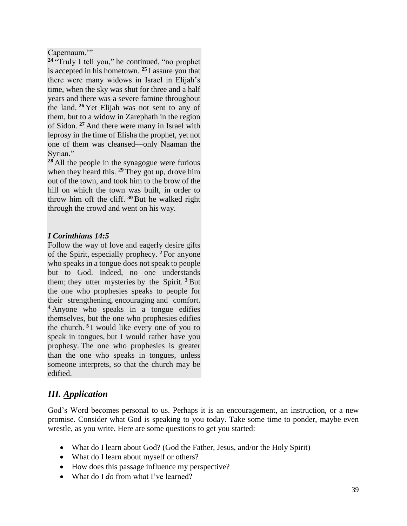Capernaum."

**<sup>24</sup>** "Truly I tell you," he continued, "no prophet is accepted in his hometown. **<sup>25</sup>** I assure you that there were many widows in Israel in Elijah's time, when the sky was shut for three and a half years and there was a severe famine throughout the land. **<sup>26</sup>** Yet Elijah was not sent to any of them, but to a widow in Zarephath in the region of Sidon. **<sup>27</sup>** And there were many in Israel with leprosy in the time of Elisha the prophet, yet not one of them was cleansed—only Naaman the Syrian."

**<sup>28</sup>** All the people in the synagogue were furious when they heard this. **<sup>29</sup>** They got up, drove him out of the town, and took him to the brow of the hill on which the town was built, in order to throw him off the cliff. **<sup>30</sup>** But he walked right through the crowd and went on his way.

### *I Corinthians 14:5*

Follow the way of love and eagerly desire gifts of the Spirit, especially prophecy. **<sup>2</sup>** For anyone who speaks in a tongue does not speak to people but to God. Indeed, no one understands them; they utter mysteries by the Spirit. **<sup>3</sup>** But the one who prophesies speaks to people for their strengthening, encouraging and comfort. **<sup>4</sup>** Anyone who speaks in a tongue edifies themselves, but the one who prophesies edifies the church. **<sup>5</sup>** I would like every one of you to speak in tongues, but I would rather have you prophesy. The one who prophesies is greater than the one who speaks in tongues, unless someone interprets, so that the church may be edified.

# *III. Application*

God's Word becomes personal to us. Perhaps it is an encouragement, an instruction, or a new promise. Consider what God is speaking to you today. Take some time to ponder, maybe even wrestle, as you write. Here are some questions to get you started:

- What do I learn about God? (God the Father, Jesus, and/or the Holy Spirit)
- What do I learn about myself or others?
- How does this passage influence my perspective?
- What do I *do* from what I've learned?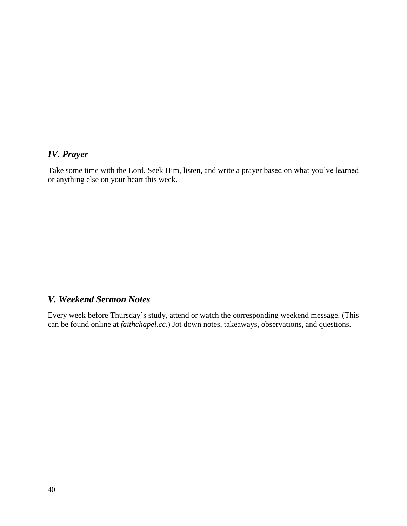# *IV. Prayer*

Take some time with the Lord. Seek Him, listen, and write a prayer based on what you've learned or anything else on your heart this week.

## *V. Weekend Sermon Notes*

Every week before Thursday's study, attend or watch the corresponding weekend message. (This can be found online at *faithchapel.cc*.) Jot down notes, takeaways, observations, and questions.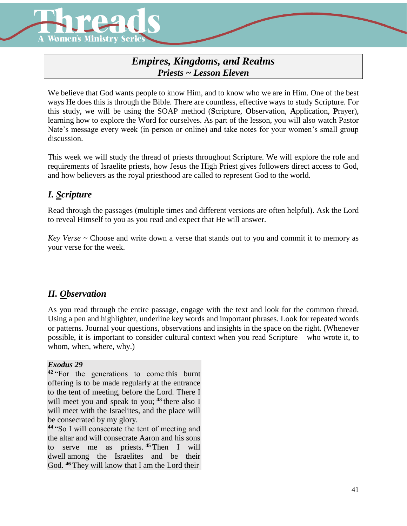

# *Empires, Kingdoms, and Realms Priests ~ Lesson Eleven*

We believe that God wants people to know Him, and to know who we are in Him. One of the best ways He does this is through the Bible. There are countless, effective ways to study Scripture. For this study, we will be using the SOAP method (**S**cripture, **O**bservation, **A**pplication, **P**rayer), learning how to explore the Word for ourselves. As part of the lesson, you will also watch Pastor Nate's message every week (in person or online) and take notes for your women's small group discussion.

This week we will study the thread of priests throughout Scripture. We will explore the role and requirements of Israelite priests, how Jesus the High Priest gives followers direct access to God, and how believers as the royal priesthood are called to represent God to the world.

# *I. Scripture*

Read through the passages (multiple times and different versions are often helpful). Ask the Lord to reveal Himself to you as you read and expect that He will answer.

*Key Verse ~* Choose and write down a verse that stands out to you and commit it to memory as your verse for the week.

## *II. Observation*

As you read through the entire passage, engage with the text and look for the common thread. Using a pen and highlighter, underline key words and important phrases. Look for repeated words or patterns. Journal your questions, observations and insights in the space on the right. (Whenever possible, it is important to consider cultural context when you read Scripture – who wrote it, to whom, when, where, why.)

### *Exodus 29*

**<sup>42</sup>** "For the generations to come this burnt offering is to be made regularly at the entrance to the tent of meeting, before the Lord. There I will meet you and speak to you; **<sup>43</sup>** there also I will meet with the Israelites, and the place will be consecrated by my glory.

**<sup>44</sup>** "So I will consecrate the tent of meeting and the altar and will consecrate Aaron and his sons to serve me as priests. **<sup>45</sup>** Then I will dwell among the Israelites and be their God. **<sup>46</sup>** They will know that I am the Lord their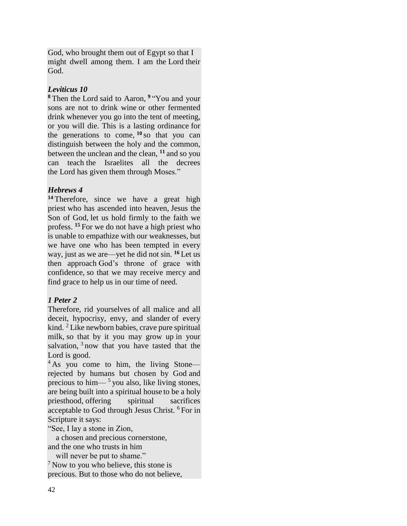God, who brought them out of Egypt so that I might dwell among them. I am the Lord their God.

### *Leviticus 10*

**<sup>8</sup>** Then the Lord said to Aaron, **<sup>9</sup>** "You and your sons are not to drink wine or other fermented drink whenever you go into the tent of meeting, or you will die. This is a lasting ordinance for the generations to come,  $10$  so that you can distinguish between the holy and the common, between the unclean and the clean, **<sup>11</sup>** and so you can teach the Israelites all the decrees the Lord has given them through Moses."

### *Hebrews 4*

<sup>14</sup> Therefore, since we have a great high priest who has ascended into heaven, Jesus the Son of God, let us hold firmly to the faith we profess. **<sup>15</sup>** For we do not have a high priest who is unable to empathize with our weaknesses, but we have one who has been tempted in every way, just as we are—yet he did not sin. **<sup>16</sup>** Let us then approach God's throne of grace with confidence, so that we may receive mercy and find grace to help us in our time of need.

## *1 Peter 2*

Therefore, rid yourselves of all malice and all deceit, hypocrisy, envy, and slander of every kind. <sup>2</sup> Like newborn babies, crave pure spiritual milk, so that by it you may grow up in your salvation,  $3$  now that you have tasted that the Lord is good.

 $4$ As you come to him, the living Stone rejected by humans but chosen by God and precious to him— $<sup>5</sup>$  you also, like living stones,</sup> are being built into a spiritual house to be a holy priesthood, offering spiritual sacrifices acceptable to God through Jesus Christ. <sup>6</sup> For in Scripture it says:

"See, I lay a stone in Zion,

 a chosen and precious cornerstone, and the one who trusts in him

will never be put to shame."

 $<sup>7</sup>$  Now to you who believe, this stone is</sup> precious. But to those who do not believe,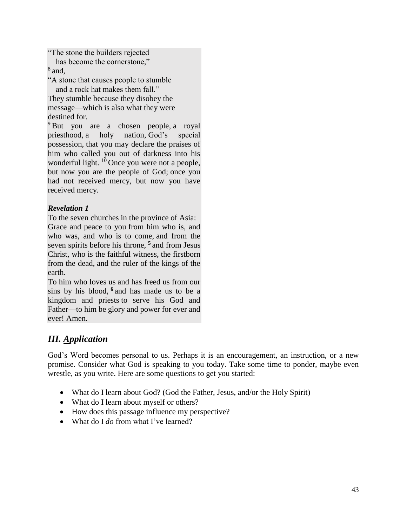"The stone the builders rejected

has become the cornerstone,"

8 and,

"A stone that causes people to stumble and a rock hat makes them fall."

They stumble because they disobey the message—which is also what they were destined for.

<sup>9</sup> But you are a chosen people, a royal priesthood, a holy nation, God's special possession, that you may declare the praises of him who called you out of darkness into his wonderful light. <sup>10</sup> Once you were not a people, but now you are the people of God; once you had not received mercy, but now you have received mercy.

## *Revelation 1*

To the seven churches in the province of Asia: Grace and peace to you from him who is, and who was, and who is to come, and from the seven spirits before his throne, **<sup>5</sup>** and from Jesus Christ, who is the faithful witness, the firstborn from the dead, and the ruler of the kings of the earth.

To him who loves us and has freed us from our sins by his blood, **<sup>6</sup>** and has made us to be a kingdom and priests to serve his God and Father—to him be glory and power for ever and ever! Amen.

# *III. Application*

God's Word becomes personal to us. Perhaps it is an encouragement, an instruction, or a new promise. Consider what God is speaking to you today. Take some time to ponder, maybe even wrestle, as you write. Here are some questions to get you started:

- What do I learn about God? (God the Father, Jesus, and/or the Holy Spirit)
- What do I learn about myself or others?
- How does this passage influence my perspective?
- What do I *do* from what I've learned?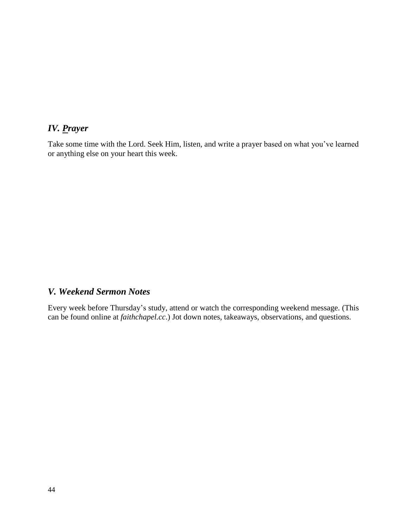# *IV. Prayer*

Take some time with the Lord. Seek Him, listen, and write a prayer based on what you've learned or anything else on your heart this week.

## *V. Weekend Sermon Notes*

Every week before Thursday's study, attend or watch the corresponding weekend message. (This can be found online at *faithchapel.cc*.) Jot down notes, takeaways, observations, and questions.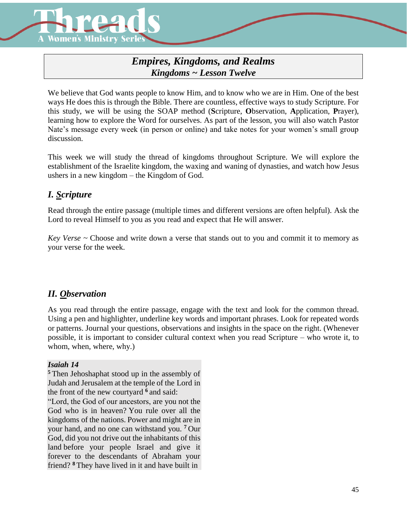

# *Empires, Kingdoms, and Realms Kingdoms ~ Lesson Twelve*

We believe that God wants people to know Him, and to know who we are in Him. One of the best ways He does this is through the Bible. There are countless, effective ways to study Scripture. For this study, we will be using the SOAP method (**S**cripture, **O**bservation, **A**pplication, **P**rayer), learning how to explore the Word for ourselves. As part of the lesson, you will also watch Pastor Nate's message every week (in person or online) and take notes for your women's small group discussion.

This week we will study the thread of kingdoms throughout Scripture. We will explore the establishment of the Israelite kingdom, the waxing and waning of dynasties, and watch how Jesus ushers in a new kingdom – the Kingdom of God.

# *I. Scripture*

Read through the entire passage (multiple times and different versions are often helpful). Ask the Lord to reveal Himself to you as you read and expect that He will answer.

*Key Verse ~* Choose and write down a verse that stands out to you and commit it to memory as your verse for the week.

## *II. Observation*

As you read through the entire passage, engage with the text and look for the common thread. Using a pen and highlighter, underline key words and important phrases. Look for repeated words or patterns. Journal your questions, observations and insights in the space on the right. (Whenever possible, it is important to consider cultural context when you read Scripture – who wrote it, to whom, when, where, why.)

### *Isaiah 14*

**<sup>5</sup>** Then Jehoshaphat stood up in the assembly of Judah and Jerusalem at the temple of the Lord in the front of the new courtyard **<sup>6</sup>** and said:

"Lord, the God of our ancestors, are you not the God who is in heaven? You rule over all the kingdoms of the nations. Power and might are in your hand, and no one can withstand you. **<sup>7</sup>** Our God, did you not drive out the inhabitants of this land before your people Israel and give it forever to the descendants of Abraham your friend? **<sup>8</sup>** They have lived in it and have built in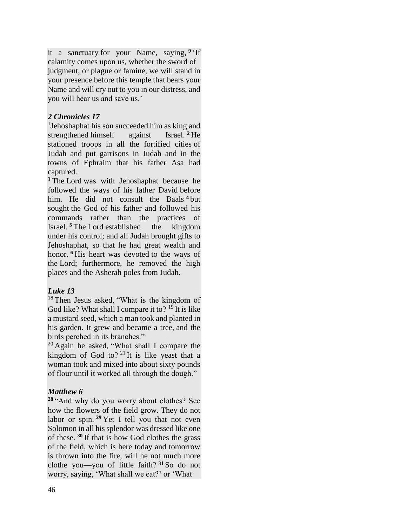it a sanctuary for your Name, saying, **<sup>9</sup>** 'If calamity comes upon us, whether the sword of judgment, or plague or famine, we will stand in your presence before this temple that bears your Name and will cry out to you in our distress, and you will hear us and save us.'

### *2 Chronicles 17*

<sup>1</sup>Jehoshaphat his son succeeded him as king and strengthened himself against Israel. **<sup>2</sup>** He stationed troops in all the fortified cities of Judah and put garrisons in Judah and in the towns of Ephraim that his father Asa had captured.

**<sup>3</sup>** The Lord was with Jehoshaphat because he followed the ways of his father David before him. He did not consult the Baals **<sup>4</sup>** but sought the God of his father and followed his commands rather than the practices of Israel. **<sup>5</sup>** The Lord established the kingdom under his control; and all Judah brought gifts to Jehoshaphat, so that he had great wealth and honor. **<sup>6</sup>** His heart was devoted to the ways of the Lord; furthermore, he removed the high places and the Asherah poles from Judah.

### *Luke 13*

<sup>18</sup> Then Jesus asked, "What is the kingdom of God like? What shall I compare it to?  $19$  It is like a mustard seed, which a man took and planted in his garden. It grew and became a tree, and the birds perched in its branches."

 $^{20}$  Again he asked, "What shall I compare the kingdom of God to?<sup>21</sup>It is like yeast that a woman took and mixed into about sixty pounds of flour until it worked all through the dough."

### *Matthew 6*

**<sup>28</sup>** "And why do you worry about clothes? See how the flowers of the field grow. They do not labor or spin. **<sup>29</sup>** Yet I tell you that not even Solomon in all his splendor was dressed like one of these. **<sup>30</sup>** If that is how God clothes the grass of the field, which is here today and tomorrow is thrown into the fire, will he not much more clothe you—you of little faith? **<sup>31</sup>** So do not worry, saying, 'What shall we eat?' or 'What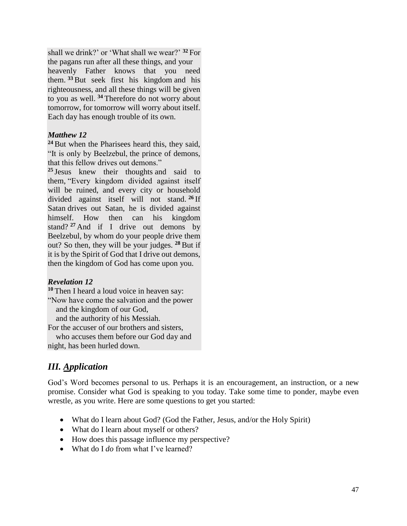shall we drink?' or 'What shall we wear?' **<sup>32</sup>** For the pagans run after all these things, and your heavenly Father knows that you need them. **<sup>33</sup>**But seek first his kingdom and his righteousness, and all these things will be given to you as well. **<sup>34</sup>** Therefore do not worry about tomorrow, for tomorrow will worry about itself. Each day has enough trouble of its own.

#### *Matthew 12*

**<sup>24</sup>**But when the Pharisees heard this, they said, "It is only by Beelzebul, the prince of demons, that this fellow drives out demons."

**<sup>25</sup>** Jesus knew their thoughts and said to them, "Every kingdom divided against itself will be ruined, and every city or household divided against itself will not stand. **<sup>26</sup>** If Satan drives out Satan, he is divided against himself. How then can his kingdom stand? **<sup>27</sup>** And if I drive out demons by Beelzebul, by whom do your people drive them out? So then, they will be your judges. **<sup>28</sup>** But if it is by the Spirit of God that I drive out demons, then the kingdom of God has come upon you.

### *Revelation 12*

**<sup>10</sup>** Then I heard a loud voice in heaven say: "Now have come the salvation and the power and the kingdom of our God,

and the authority of his Messiah.

For the accuser of our brothers and sisters, who accuses them before our God day and

night, has been hurled down.

# *III. Application*

God's Word becomes personal to us. Perhaps it is an encouragement, an instruction, or a new promise. Consider what God is speaking to you today. Take some time to ponder, maybe even wrestle, as you write. Here are some questions to get you started:

- What do I learn about God? (God the Father, Jesus, and/or the Holy Spirit)
- What do I learn about myself or others?
- How does this passage influence my perspective?
- What do I *do* from what I've learned?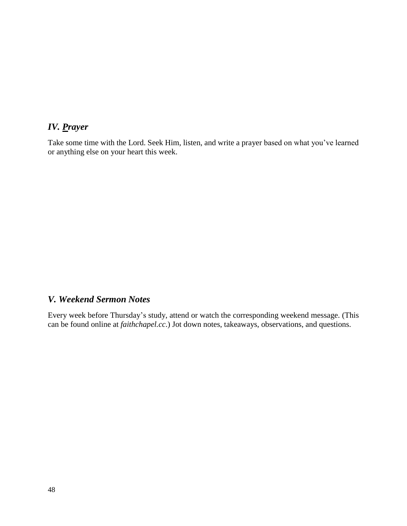## *IV. Prayer*

Take some time with the Lord. Seek Him, listen, and write a prayer based on what you've learned or anything else on your heart this week.

# *V. Weekend Sermon Notes*

Every week before Thursday's study, attend or watch the corresponding weekend message. (This can be found online at *faithchapel.cc*.) Jot down notes, takeaways, observations, and questions.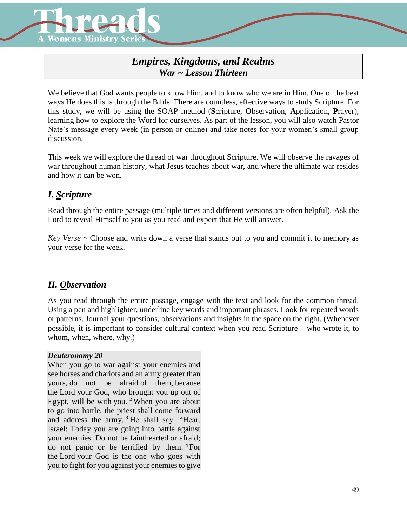

# *Empires, Kingdoms, and Realms War ~ Lesson Thirteen*

We believe that God wants people to know Him, and to know who we are in Him. One of the best ways He does this is through the Bible. There are countless, effective ways to study Scripture. For this study, we will be using the SOAP method (**S**cripture, **O**bservation, **A**pplication, **P**rayer), learning how to explore the Word for ourselves. As part of the lesson, you will also watch Pastor Nate's message every week (in person or online) and take notes for your women's small group discussion.

This week we will explore the thread of war throughout Scripture. We will observe the ravages of war throughout human history, what Jesus teaches about war, and where the ultimate war resides and how it can be won.

# *I. Scripture*

Read through the entire passage (multiple times and different versions are often helpful). Ask the Lord to reveal Himself to you as you read and expect that He will answer.

*Key Verse ~* Choose and write down a verse that stands out to you and commit it to memory as your verse for the week.

# *II. Observation*

As you read through the entire passage, engage with the text and look for the common thread. Using a pen and highlighter, underline key words and important phrases. Look for repeated words or patterns. Journal your questions, observations and insights in the space on the right. (Whenever possible, it is important to consider cultural context when you read Scripture – who wrote it, to whom, when, where, why.)

### *Deuteronomy 20*

When you go to war against your enemies and see horses and chariots and an army greater than yours, do not be afraid of them, because the Lord your God, who brought you up out of Egypt, will be with you. **<sup>2</sup>** When you are about to go into battle, the priest shall come forward and address the army. **<sup>3</sup>** He shall say: "Hear, Israel: Today you are going into battle against your enemies. Do not be fainthearted or afraid; do not panic or be terrified by them. **<sup>4</sup>** For the Lord your God is the one who goes with you to fight for you against your enemies to give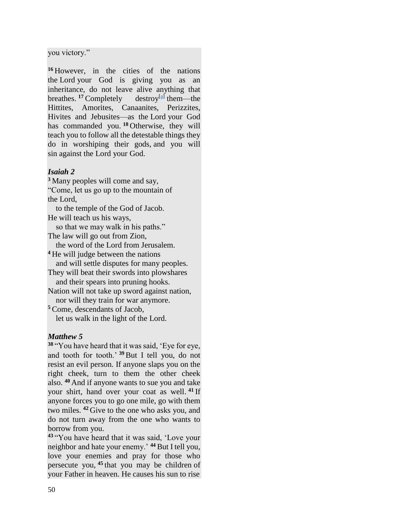#### you victory."

**<sup>16</sup>** However, in the cities of the nations the Lord your God is giving you as an inheritance, do not leave alive anything that breathes. <sup>17</sup> Completely destroy<sup>[a]</sup> them—the Hittites, Amorites, Canaanites, Perizzites, Hivites and Jebusites—as the Lord your God has commanded you. **<sup>18</sup>** Otherwise, they will teach you to follow all the detestable things they do in worshiping their gods, and you will sin against the Lord your God.

### *Isaiah 2*

**<sup>3</sup>** Many peoples will come and say, "Come, let us go up to the mountain of the Lord,

 to the temple of the God of Jacob. He will teach us his ways,

 so that we may walk in his paths." The law will go out from Zion,

the word of the Lord from Jerusalem.

**<sup>4</sup>** He will judge between the nations and will settle disputes for many peoples.

They will beat their swords into plowshares and their spears into pruning hooks.

Nation will not take up sword against nation, nor will they train for war anymore.

**<sup>5</sup>** Come, descendants of Jacob, let us walk in the light of the Lord.

#### *Matthew 5*

**<sup>38</sup>** "You have heard that it was said, 'Eye for eye, and tooth for tooth.' **<sup>39</sup>**But I tell you, do not resist an evil person. If anyone slaps you on the right cheek, turn to them the other cheek also. **<sup>40</sup>** And if anyone wants to sue you and take your shirt, hand over your coat as well. **<sup>41</sup>** If anyone forces you to go one mile, go with them two miles. **<sup>42</sup>** Give to the one who asks you, and do not turn away from the one who wants to borrow from you.

**<sup>43</sup>** "You have heard that it was said, 'Love your neighbor and hate your enemy.' **<sup>44</sup>** But I tell you, love your enemies and pray for those who persecute you, **<sup>45</sup>** that you may be children of your Father in heaven. He causes his sun to rise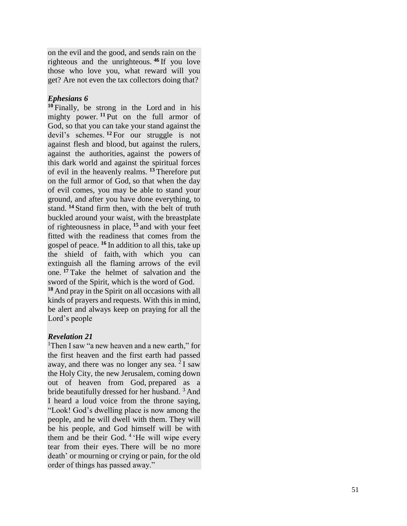on the evil and the good, and sends rain on the righteous and the unrighteous. **<sup>46</sup>** If you love those who love you, what reward will you get? Are not even the tax collectors doing that?

### *Ephesians 6*

**<sup>10</sup>** Finally, be strong in the Lord and in his mighty power. **<sup>11</sup>** Put on the full armor of God, so that you can take your stand against the devil's schemes. **<sup>12</sup>** For our struggle is not against flesh and blood, but against the rulers, against the authorities, against the powers of this dark world and against the spiritual forces of evil in the heavenly realms. **<sup>13</sup>** Therefore put on the full armor of God, so that when the day of evil comes, you may be able to stand your ground, and after you have done everything, to stand. **<sup>14</sup>** Stand firm then, with the belt of truth buckled around your waist, with the breastplate of righteousness in place , **<sup>15</sup>** and with your feet fitted with the readiness that comes from the gospel of peace. **<sup>16</sup>** In addition to all this, take up the shield of faith, with which you can extinguish all the flaming arrows of the evil one. **<sup>17</sup>** Take the helmet of salvation and the sword of the Spirit, which is the word of God.

**<sup>18</sup>** And pray in the Spirit on all occasions with all kinds of prayers and requests. With this in mind, be alert and always keep on praying for all the Lord's people

### *Revelation 21*

<sup>1</sup>Then I saw "a new heaven and a new earth," for the first heaven and the first earth had passed away, and there was no longer any sea. 2 I saw the Holy City, the new Jerusalem, coming down out of heaven from God, prepared as a bride beautifully dressed for her husband. <sup>3</sup> And I heard a loud voice from the throne saying, "Look! God's dwelling place is now among the people, and he will dwell with them. They will be his people, and God himself will be with them and be their God.<sup>4</sup> 'He will wipe every tear from their eyes. There will be no more death' or mourning or crying or pain, for the old order of things has passed away."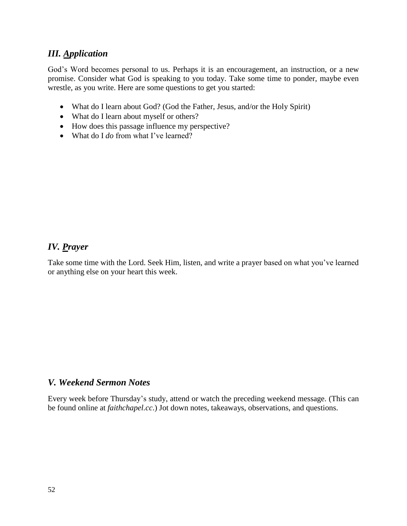## *III. Application*

God's Word becomes personal to us. Perhaps it is an encouragement, an instruction, or a new promise. Consider what God is speaking to you today. Take some time to ponder, maybe even wrestle, as you write. Here are some questions to get you started:

- What do I learn about God? (God the Father, Jesus, and/or the Holy Spirit)
- What do I learn about myself or others?
- How does this passage influence my perspective?
- What do I *do* from what I've learned?

## *IV. Prayer*

Take some time with the Lord. Seek Him, listen, and write a prayer based on what you've learned or anything else on your heart this week.

### *V. Weekend Sermon Notes*

Every week before Thursday's study, attend or watch the preceding weekend message. (This can be found online at *faithchapel.cc*.) Jot down notes, takeaways, observations, and questions.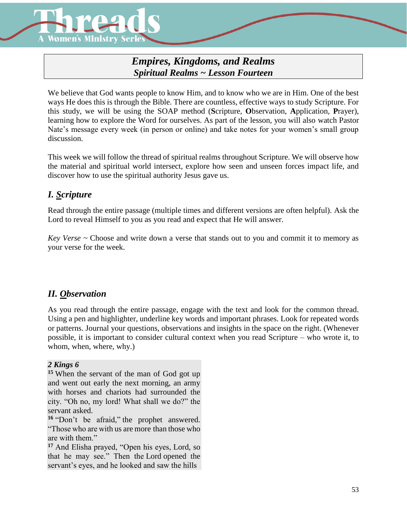

# *Empires, Kingdoms, and Realms Spiritual Realms ~ Lesson Fourteen*

We believe that God wants people to know Him, and to know who we are in Him. One of the best ways He does this is through the Bible. There are countless, effective ways to study Scripture. For this study, we will be using the SOAP method (**S**cripture, **O**bservation, **A**pplication, **P**rayer), learning how to explore the Word for ourselves. As part of the lesson, you will also watch Pastor Nate's message every week (in person or online) and take notes for your women's small group discussion.

This week we will follow the thread of spiritual realms throughout Scripture. We will observe how the material and spiritual world intersect, explore how seen and unseen forces impact life, and discover how to use the spiritual authority Jesus gave us.

# *I. Scripture*

Read through the entire passage (multiple times and different versions are often helpful). Ask the Lord to reveal Himself to you as you read and expect that He will answer.

*Key Verse ~* Choose and write down a verse that stands out to you and commit it to memory as your verse for the week.

## *II. Observation*

As you read through the entire passage, engage with the text and look for the common thread. Using a pen and highlighter, underline key words and important phrases. Look for repeated words or patterns. Journal your questions, observations and insights in the space on the right. (Whenever possible, it is important to consider cultural context when you read Scripture – who wrote it, to whom, when, where, why.)

### *2 Kings 6*

**<sup>15</sup>** When the servant of the man of God got up and went out early the next morning, an army with horses and chariots had surrounded the city. "Oh no, my lord! What shall we do?" the servant asked.

**<sup>16</sup>** "Don't be afraid," the prophet answered. "Those who are with us are more than those who are with them."

**<sup>17</sup>** And Elisha prayed, "Open his eyes, Lord, so that he may see." Then the Lord opened the servant's eyes, and he looked and saw the hills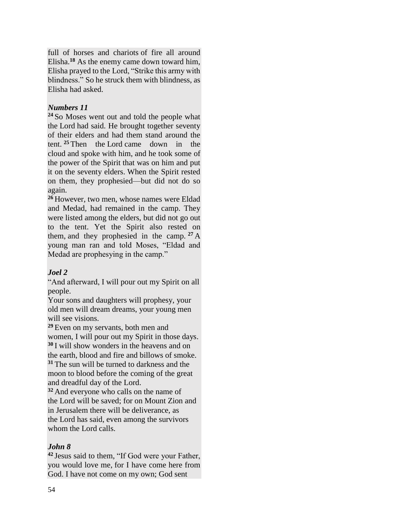full of horses and chariots of fire all around Elisha.**<sup>18</sup>** As the enemy came down toward him, Elisha prayed to the Lord, "Strike this army with blindness." So he struck them with blindness, as Elisha had asked.

### *Numbers 11*

**<sup>24</sup>** So Moses went out and told the people what the Lord had said. He brought together seventy of their elders and had them stand around the tent. **<sup>25</sup>** Then the Lord came down in the cloud and spoke with him, and he took some of the power of the Spirit that was on him and put it on the seventy elders. When the Spirit rested on them, they prophesied—but did not do so again.

**<sup>26</sup>** However, two men, whose names were Eldad and Medad, had remained in the camp. They were listed among the elders, but did not go out to the tent. Yet the Spirit also rested on them, and they prophesied in the camp. **<sup>27</sup>** A young man ran and told Moses, "Eldad and Medad are prophesying in the camp."

## *Joel 2*

"And afterward, I will pour out my Spirit on all people.

Your sons and daughters will prophesy, your old men will dream dreams, your young men will see visions.

**<sup>29</sup>** Even on my servants, both men and women, I will pour out my Spirit in those days. **<sup>30</sup>** I will show wonders in the heavens and on the earth, blood and fire and billows of smoke. **<sup>31</sup>** The sun will be turned to darkness and the moon to blood before the coming of the great and dreadful day of the Lord.

**<sup>32</sup>** And everyone who calls on the name of the Lord will be saved; for on Mount Zion and in Jerusalem there will be deliverance, as the Lord has said, even among the survivors whom the Lord calls.

## *John 8*

**<sup>42</sup>** Jesus said to them, "If God were your Father, you would love me, for I have come here from God. I have not come on my own; God sent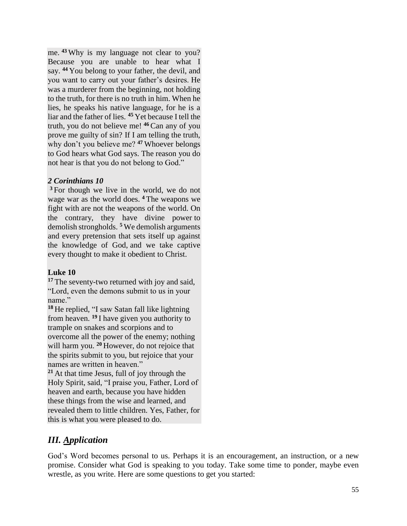me. **<sup>43</sup>** Why is my language not clear to you? Because you are unable to hear what I say. **<sup>44</sup>** You belong to your father, the devil, and you want to carry out your father's desires. He was a murderer from the beginning, not holding to the truth, for there is no truth in him. When he lies, he speaks his native language, for he is a liar and the father of lies. **<sup>45</sup>** Yet because I tell the truth, you do not believe me! **<sup>46</sup>** Can any of you prove me guilty of sin? If I am telling the truth, why don't you believe me? **<sup>47</sup>** Whoever belongs to God hears what God says. The reason you do not hear is that you do not belong to God."

### *2 Corinthians 10*

**<sup>3</sup>** For though we live in the world, we do not wage war as the world does. **<sup>4</sup>** The weapons we fight with are not the weapons of the world. On the contrary, they have divine power to demolish strongholds. **<sup>5</sup>** We demolish arguments and every pretension that sets itself up against the knowledge of God, and we take captive every thought to make it obedient to Christ.

### **Luke 10**

**<sup>17</sup>** The seventy-two returned with joy and said, "Lord, even the demons submit to us in your name."

**<sup>18</sup>** He replied, "I saw Satan fall like lightning from heaven. **<sup>19</sup>** I have given you authority to trample on snakes and scorpions and to overcome all the power of the enemy; nothing will harm you. **<sup>20</sup>** However, do not rejoice that the spirits submit to you, but rejoice that your names are written in heaven."

**<sup>21</sup>** At that time Jesus, full of joy through the Holy Spirit, said, "I praise you, Father, Lord of heaven and earth, because you have hidden these things from the wise and learned, and revealed them to little children. Yes, Father, for this is what you were pleased to do.

# *III. Application*

God's Word becomes personal to us. Perhaps it is an encouragement, an instruction, or a new promise. Consider what God is speaking to you today. Take some time to ponder, maybe even wrestle, as you write. Here are some questions to get you started: